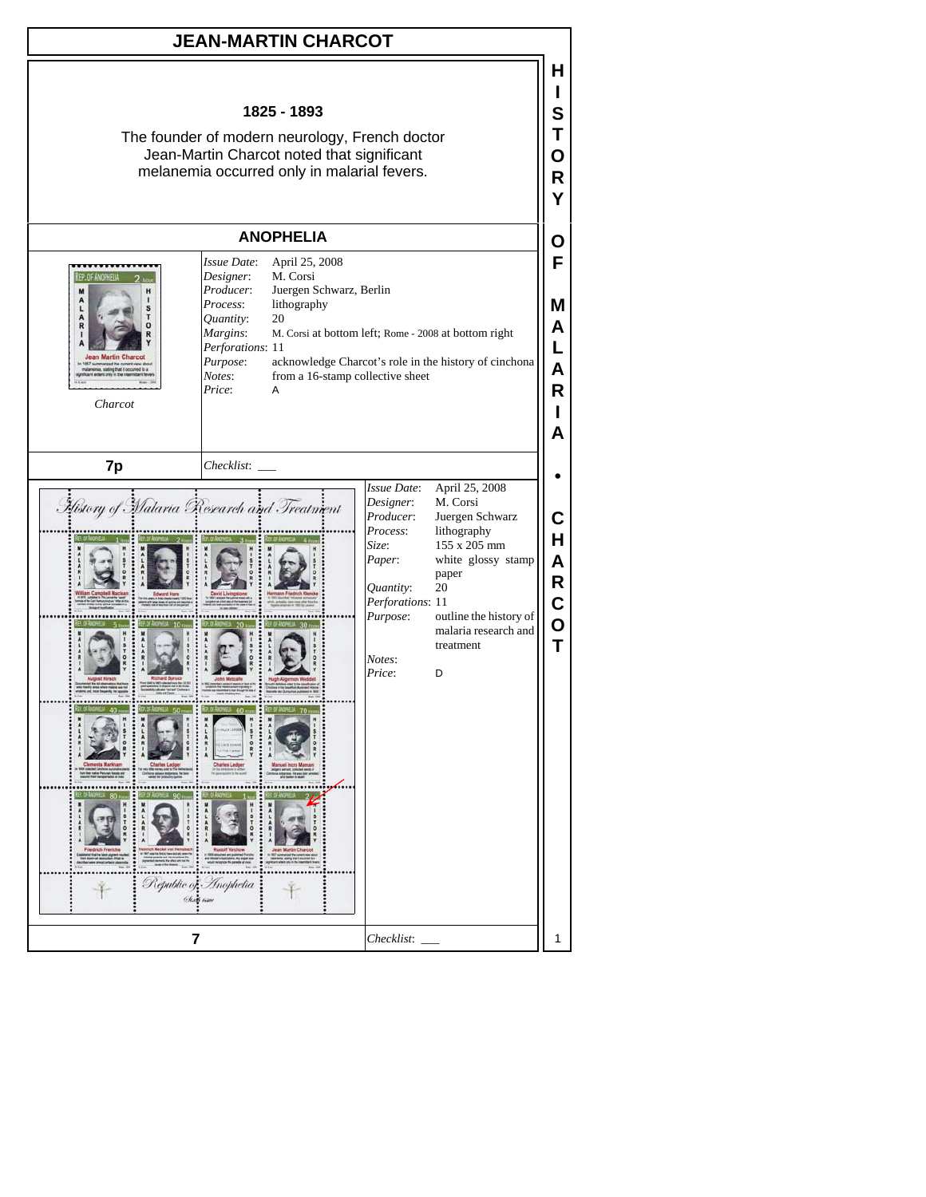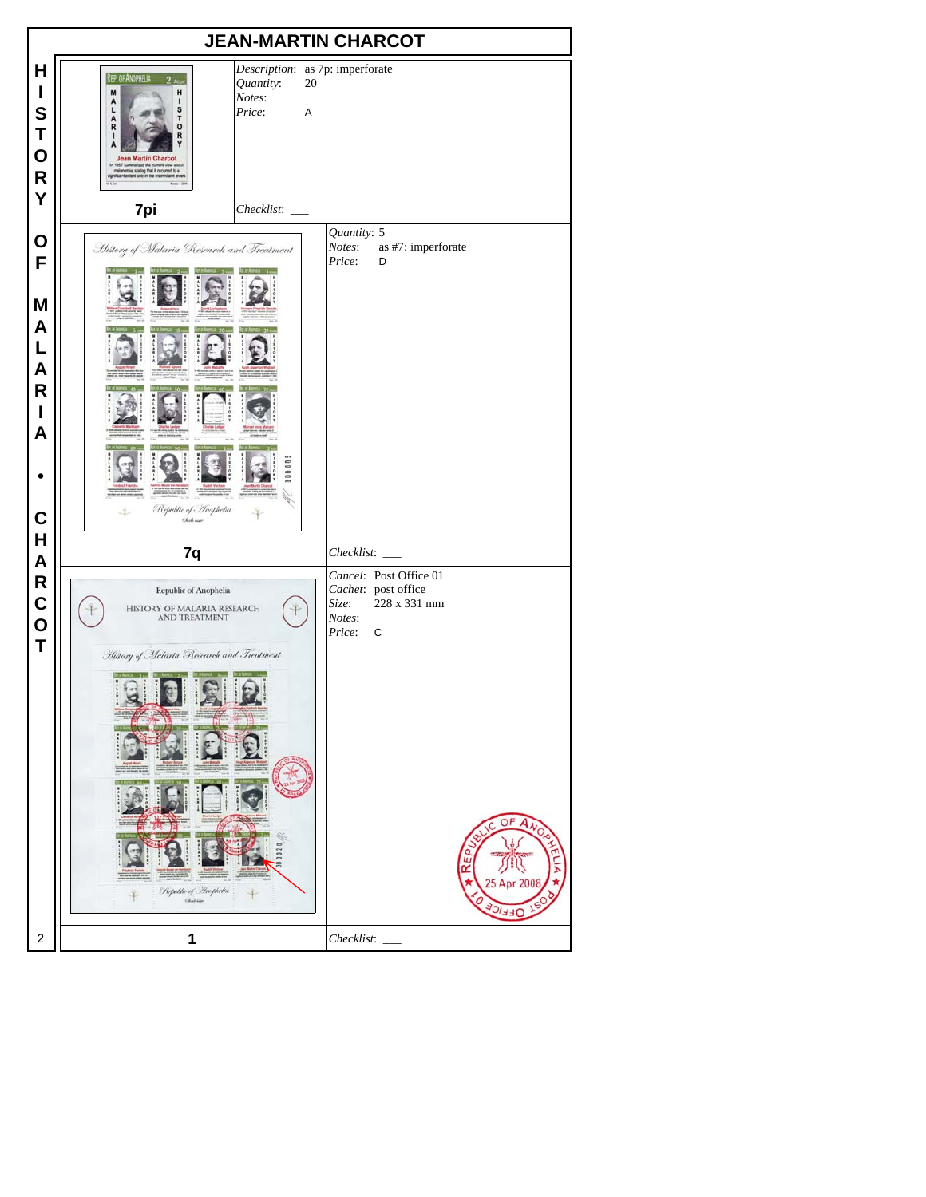|                                                          |                                                                                                                                                                                                                                                                   | <b>JEAN-MARTIN CHARCOT</b>                                                  |                                         |                                                                                               |
|----------------------------------------------------------|-------------------------------------------------------------------------------------------------------------------------------------------------------------------------------------------------------------------------------------------------------------------|-----------------------------------------------------------------------------|-----------------------------------------|-----------------------------------------------------------------------------------------------|
| Н<br>I<br>S<br>Τ<br>O<br>$\mathsf{R}$<br>Υ               | REP. OF ANOPHELIA<br>2<br>M<br>H<br>A<br>1<br>S<br>$\frac{A}{R}$<br>т<br>0<br>1<br>R<br><b>Jean Martin Charcot</b><br>In 1857 summarized the current view about<br>malanemia. slating that it occurred to a<br>significant extent only in the intermittent fevers | Description: as 7p: imperforate<br>20<br>Quantity:<br>Notes:<br>Price:<br>A |                                         |                                                                                               |
|                                                          | 7pi                                                                                                                                                                                                                                                               | Checklist:                                                                  |                                         |                                                                                               |
| O<br>F<br>M<br>A<br>L<br>A<br>R<br>I<br>A<br>$\mathbf C$ | History of Malaria Research and Treatment<br>R<br>$10 + 6 =$<br>E<br>Republic of Inophetia<br>Oliel sure                                                                                                                                                          | ,,,,,,,,,,                                                                  | Quantity: 5<br>Notes:<br>Price:         | as #7: imperforate<br>D                                                                       |
| H                                                        |                                                                                                                                                                                                                                                                   |                                                                             |                                         |                                                                                               |
| A<br>R<br>$\mathbf C$<br>$\mathbf 0$<br>Τ                | 7q<br>Republic of Anophelia<br>HISTORY OF MALARIA RESEARCH<br><b>AND TREATMENT</b><br>History of Malaria Research and Treatment<br>Republic of Anophelia<br>Chief care                                                                                            | $\mathbf{R}$                                                                | Checklist:<br>Size:<br>Notes:<br>Price: | Cancel: Post Office 01<br>Cachet: post office<br>228 x 331 mm<br>C<br>OF<br>25 Apr 200<br>リコヨ |
| 2                                                        | 1                                                                                                                                                                                                                                                                 |                                                                             | Checklist:                              |                                                                                               |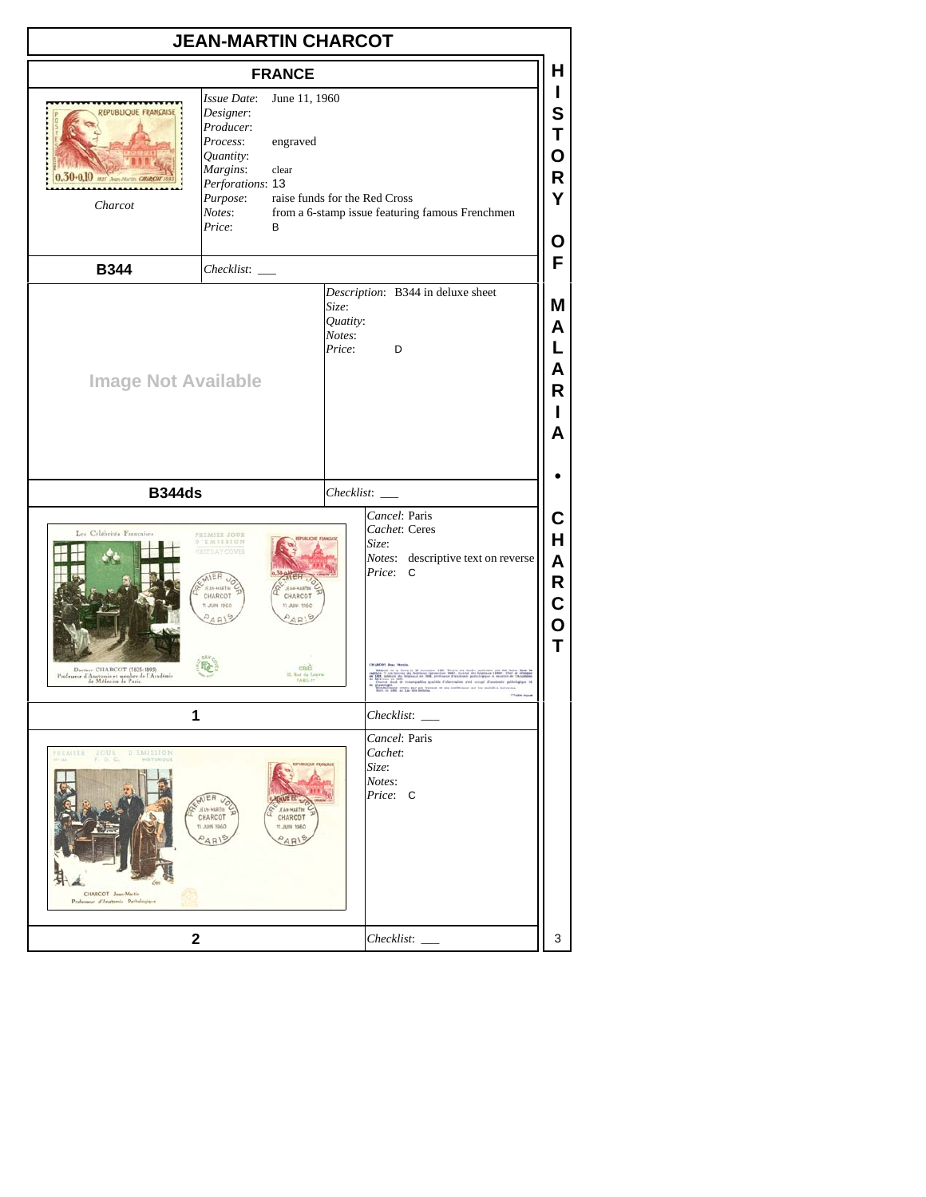| <b>FRANCE</b>                                                                                                                                                                                                                                                                                                                        | н                               |
|--------------------------------------------------------------------------------------------------------------------------------------------------------------------------------------------------------------------------------------------------------------------------------------------------------------------------------------|---------------------------------|
| Issue Date:<br>June 11, 1960<br>REPUBLIQUE FRANÇAISE<br>Designer:<br>Producer:<br>Process:<br>engraved<br>Quantity:<br>Margins:<br>clear<br>$0.30 - 0.10$<br>Perforations: 13<br>Purpose:<br>raise funds for the Red Cross<br>Charcot<br>from a 6-stamp issue featuring famous Frenchmen<br>Notes:<br>Price:<br>В                    | L<br>S<br>Т<br>О<br>R<br>Y<br>О |
| <b>B344</b><br>Checklist:                                                                                                                                                                                                                                                                                                            | F                               |
| Description: B344 in deluxe sheet<br>Size:<br>Quatity:<br>Notes:<br>Price:<br>D<br><b>Image Not Available</b>                                                                                                                                                                                                                        | Μ<br>Α<br>L<br>A<br>R<br>A      |
| <b>B344ds</b><br>$Checklist:$ $\_\_$                                                                                                                                                                                                                                                                                                 |                                 |
| Cancel: Paris<br>Cachet: Ceres<br>Les Célébrités Françaises<br><b>PREMIER JOUR</b><br>D'EMISSION<br>Size:<br><b>RISTDAY COVER</b><br>Notes: descriptive text on reverse<br>Price:<br>C<br>EAR-MARTIN<br><b>EAN-MARTIN</b><br>CHARCOT<br>CHARCOT<br>0391 WILL IT<br>TL BIN 1940                                                       | С<br>H<br>A<br>R<br>C<br>O<br>T |
| CEARS<br>Docteor CHARCOT (1825-1893)<br>Professeur d'Anatomie et membre de l'Académie<br>de Médecine de Paris.<br>25, Rue da Leuro<br>VARIS. In                                                                                                                                                                                      |                                 |
| 1<br>Checklist:                                                                                                                                                                                                                                                                                                                      |                                 |
| Cancel: Paris<br>Cachet:<br>PREMIER JOUR D'EMISSION<br>$F_1$ 0, $C$<br><b>FUBLIQUE FEMILIAIS</b><br>Size:<br>Notes:<br>Price: C<br>AIER U<br><b>JEAN-MARTIN</b><br><b>JEAN-MARTIN</b><br>CHARCOT<br>CHARCOT<br>11 JUIN 1960<br>0801 WILL IT<br>$O$ AR<br>A <sub>R</sub><br>CHARCOT Jean-Martin<br>Professeur d'Anatomie Pathologique |                                 |
|                                                                                                                                                                                                                                                                                                                                      |                                 |